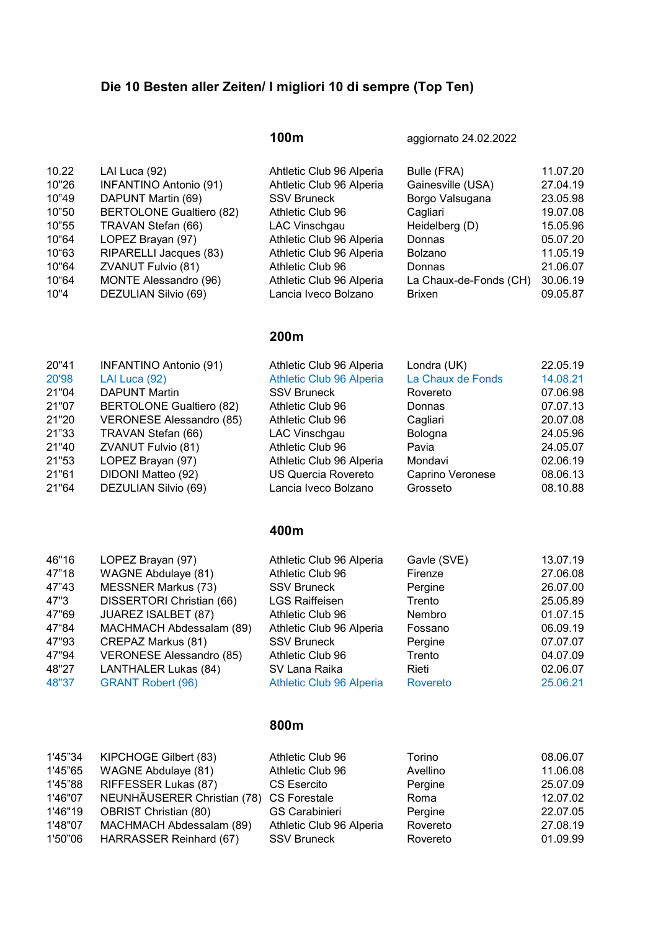# Die 10 Besten aller Zeiten/ I migliori 10 di sempre (Top Ten)

100m aggiornato 24.02.2022

| 10.22 | LAI Luca (92)                   | Ahtletic Club 96 Alperia | Bulle (FRA)            | 11.07.20 |
|-------|---------------------------------|--------------------------|------------------------|----------|
| 10"26 | <b>INFANTINO Antonio (91)</b>   | Ahtletic Club 96 Alperia | Gainesville (USA)      | 27.04.19 |
| 10"49 | DAPUNT Martin (69)              | <b>SSV Bruneck</b>       | Borgo Valsugana        | 23.05.98 |
| 10"50 | <b>BERTOLONE Gualtiero (82)</b> | Athletic Club 96         | Cagliari               | 19.07.08 |
| 10"55 | TRAVAN Stefan (66)              | LAC Vinschgau            | Heidelberg (D)         | 15.05.96 |
| 10"64 | LOPEZ Brayan (97)               | Athletic Club 96 Alperia | Donnas                 | 05.07.20 |
| 10"63 | RIPARELLI Jacques (83)          | Athletic Club 96 Alperia | <b>Bolzano</b>         | 11.05.19 |
| 10"64 | ZVANUT Fulvio (81)              | Athletic Club 96         | Donnas                 | 21.06.07 |
| 10"64 | MONTE Alessandro (96)           | Athletic Club 96 Alperia | La Chaux-de-Fonds (CH) | 30.06.19 |
| 10"4  | DEZULIAN Silvio (69)            | Lancia Iveco Bolzano     | <b>Brixen</b>          | 09.05.87 |
|       |                                 |                          |                        |          |

#### 200m

| 20"41 | <b>INFANTINO Antonio (91)</b>   | Athletic Club 96 Alperia   | Londra (UK)       | 22.05.19 |
|-------|---------------------------------|----------------------------|-------------------|----------|
| 20'98 | LAI Luca (92)                   | Athletic Club 96 Alperia   | La Chaux de Fonds | 14.08.21 |
| 21"04 | <b>DAPUNT Martin</b>            | <b>SSV Bruneck</b>         | Rovereto          | 07.06.98 |
| 21"07 | <b>BERTOLONE Gualtiero (82)</b> | Athletic Club 96           | Donnas            | 07.07.13 |
| 21"20 | <b>VERONESE Alessandro (85)</b> | Athletic Club 96           | Cagliari          | 20.07.08 |
| 21"33 | TRAVAN Stefan (66)              | LAC Vinschgau              | Bologna           | 24.05.96 |
| 21"40 | ZVANUT Fulvio (81)              | Athletic Club 96           | Pavia             | 24.05.07 |
| 21"53 | LOPEZ Brayan (97)               | Athletic Club 96 Alperia   | Mondavi           | 02.06.19 |
| 21"61 | DIDONI Matteo (92)              | <b>US Quercia Rovereto</b> | Caprino Veronese  | 08.06.13 |
| 21"64 | DEZULIAN Silvio (69)            | Lancia Iveco Bolzano       | Grosseto          | 08.10.88 |
|       |                                 | 400m                       |                   |          |
| 46"16 | LOPEZ Brayan (97)               | Athletic Club 96 Alperia   | Gavle (SVE)       | 13.07.19 |
| 47"18 | <b>WAGNE Abdulaye (81)</b>      | Athletic Club 96           | Firenze           | 27.06.08 |
| 47"43 | <b>MESSNER Markus (73)</b>      | <b>SSV Bruneck</b>         | Pergine           | 26.07.00 |
| 47"3  | DISSERTORI Christian (66)       | <b>LGS Raiffeisen</b>      | Trento            | 25.05.89 |
| 47"69 | <b>JUAREZ ISALBET (87)</b>      | Athletic Club 96           | Nembro            | 01.07.15 |
| 47"84 | MACHMACH Abdessalam (89)        | Athletic Club 96 Alperia   | Fossano           | 06.09.19 |
| 47"93 | <b>CREPAZ Markus (81)</b>       | <b>SSV Bruneck</b>         | Pergine           | 07.07.07 |
| 47"94 | VERONESE Alessandro (85)        | Athletic Club 96           | Trento            | 04.07.09 |
| 48"27 | LANTHALER Lukas (84)            | SV Lana Raika              | Rieti             | 02.06.07 |
| 48"37 | <b>GRANT Robert (96)</b>        | Athletic Club 96 Alperia   | Rovereto          | 25.06.21 |
|       |                                 |                            |                   |          |

## 800m

| 1'45"34 | KIPCHOGE Gilbert (83)        | Athletic Club 96         | Torino   | 08.06.07 |
|---------|------------------------------|--------------------------|----------|----------|
| 1'45"65 | WAGNE Abdulaye (81)          | Athletic Club 96         | Avellino | 11.06.08 |
| 1'45"88 | RIFFESSER Lukas (87)         | CS Esercito              | Pergine  | 25.07.09 |
| 1'46"07 | NEUNHÄUSERER Christian (78)  | <b>CS Forestale</b>      | Roma     | 12.07.02 |
| 1'46"19 | <b>OBRIST Christian (80)</b> | <b>GS Carabinieri</b>    | Pergine  | 22.07.05 |
| 1'48"07 | MACHMACH Abdessalam (89)     | Athletic Club 96 Alperia | Rovereto | 27.08.19 |
| 1'50"06 | HARRASSER Reinhard (67)      | <b>SSV Bruneck</b>       | Rovereto | 01.09.99 |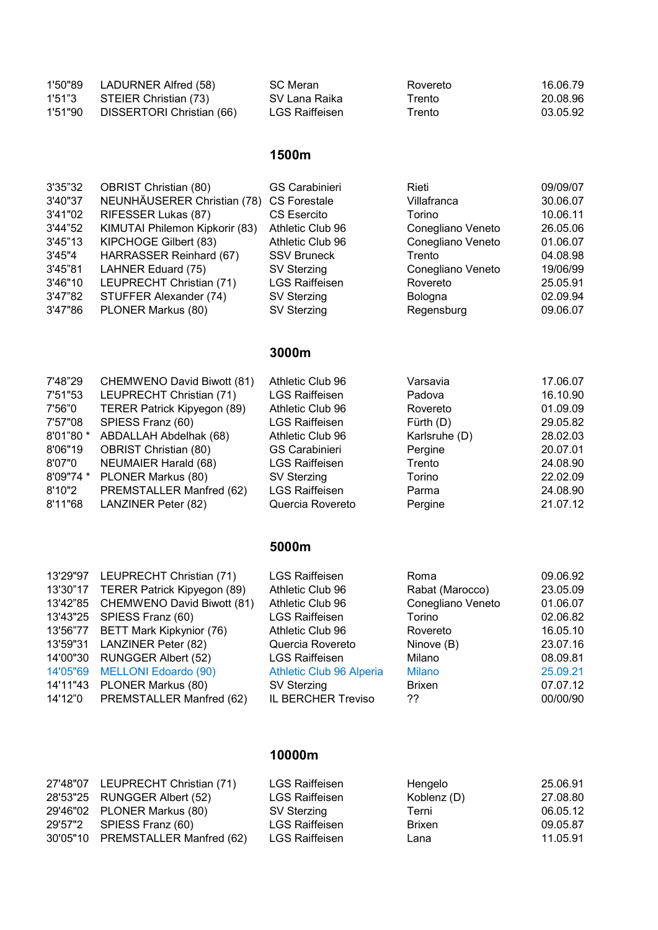| 1'50"89 | LADURNER Alfred (58)      | SC Meran       | Rovereto     | 16.06.79 |
|---------|---------------------------|----------------|--------------|----------|
| 1'51"3  | STEIER Christian (73)     | SV Lana Raika  | $\tau$ rento | 20.08.96 |
| 1'51"90 | DISSERTORI Christian (66) | LGS Raiffeisen | Trento       | 03.05.92 |

## 1500m

| 3'35"32 | <b>OBRIST Christian (80)</b>             | <b>GS Carabinieri</b> | Rieti             | 09/09/07 |
|---------|------------------------------------------|-----------------------|-------------------|----------|
| 3'40"37 | NEUNHÄUSERER Christian (78) CS Forestale |                       | Villafranca       | 30.06.07 |
| 3'41"02 | RIFESSER Lukas (87)                      | <b>CS Esercito</b>    | Torino            | 10.06.11 |
| 3'44"52 | KIMUTAI Philemon Kipkorir (83)           | Athletic Club 96      | Conegliano Veneto | 26.05.06 |
| 3'45"13 | KIPCHOGE Gilbert (83)                    | Athletic Club 96      | Conegliano Veneto | 01.06.07 |
| 3'45"4  | HARRASSER Reinhard (67)                  | <b>SSV Bruneck</b>    | Trento            | 04.08.98 |
| 3'45"81 | LAHNER Eduard (75)                       | SV Sterzing           | Conegliano Veneto | 19/06/99 |
| 3'46"10 | LEUPRECHT Christian (71)                 | <b>LGS Raiffeisen</b> | Rovereto          | 25.05.91 |
| 3'47"82 | STUFFER Alexander (74)                   | <b>SV Sterzing</b>    | Bologna           | 02.09.94 |
| 3'47"86 | PLONER Markus (80)                       | <b>SV Sterzing</b>    | Regensburg        | 09.06.07 |

# 3000m

| 7'48"29   | CHEMWENO David Biwott (81)   | Athletic Club 96      | Varsavia      | 17.06.07 |
|-----------|------------------------------|-----------------------|---------------|----------|
| 7'51"53   | LEUPRECHT Christian (71)     | <b>LGS Raiffeisen</b> | Padova        | 16.10.90 |
| 7'56"0    | TERER Patrick Kipyegon (89)  | Athletic Club 96      | Rovereto      | 01.09.09 |
| 7'57"08   | SPIESS Franz (60)            | <b>LGS Raiffeisen</b> | Fürth $(D)$   | 29.05.82 |
| 8'01"80 * | ABDALLAH Abdelhak (68)       | Athletic Club 96      | Karlsruhe (D) | 28.02.03 |
| 8'06"19   | <b>OBRIST Christian (80)</b> | <b>GS Carabinieri</b> | Pergine       | 20.07.01 |
| 8'07"0    | <b>NEUMAIER Harald (68)</b>  | <b>LGS Raiffeisen</b> | Trento        | 24.08.90 |
| 8'09"74 * | PLONER Markus (80)           | <b>SV Sterzing</b>    | Torino        | 22.02.09 |
| 8'10"2    | PREMSTALLER Manfred (62)     | <b>LGS Raiffeisen</b> | Parma         | 24.08.90 |
| 8'11"68   | <b>LANZINER Peter (82)</b>   | Quercia Rovereto      | Pergine       | 21.07.12 |

## 5000m

|          | 13'29"97 LEUPRECHT Christian (71)    | <b>LGS Raiffeisen</b>    | Roma              | 09.06.92 |
|----------|--------------------------------------|--------------------------|-------------------|----------|
|          | 13'30"17 TERER Patrick Kipyegon (89) | Athletic Club 96         | Rabat (Marocco)   | 23.05.09 |
|          | 13'42"85 CHEMWENO David Biwott (81)  | Athletic Club 96         | Conegliano Veneto | 01.06.07 |
|          | 13'43"25 SPIESS Franz (60)           | <b>LGS Raiffeisen</b>    | Torino            | 02.06.82 |
|          | 13'56"77 BETT Mark Kipkynior (76)    | Athletic Club 96         | Rovereto          | 16.05.10 |
|          | 13'59"31 LANZINER Peter (82)         | Quercia Rovereto         | Ninove (B)        | 23.07.16 |
|          | 14'00"30 RUNGGER Albert (52)         | <b>LGS Raiffeisen</b>    | Milano            | 08.09.81 |
| 14'05"69 | <b>MELLONI Edoardo (90)</b>          | Athletic Club 96 Alperia | <b>Milano</b>     | 25.09.21 |
|          | 14'11"43 PLONER Markus (80)          | SV Sterzing              | <b>Brixen</b>     | 07.07.12 |
| 14'12"0  | PREMSTALLER Manfred (62)             | IL BERCHER Treviso       | ??                | 00/00/90 |

#### 10000m

| 27'48"07 LEUPRECHT Christian (71) | <b>LGS Raiffeisen</b> | Hengelo     | 25.06.91 |
|-----------------------------------|-----------------------|-------------|----------|
| 28'53"25 RUNGGER Albert (52)      | <b>LGS Raiffeisen</b> | Koblenz (D) | 27.08.80 |
| 29'46"02 PLONER Markus (80)       | SV Sterzing           | Terni       | 06.05.12 |
| 29'57"2 SPIESS Franz (60)         | <b>LGS Raiffeisen</b> | Brixen      | 09.05.87 |
| 30'05"10 PREMSTALLER Manfred (62) | LGS Raiffeisen        | Lana        | 11.05.91 |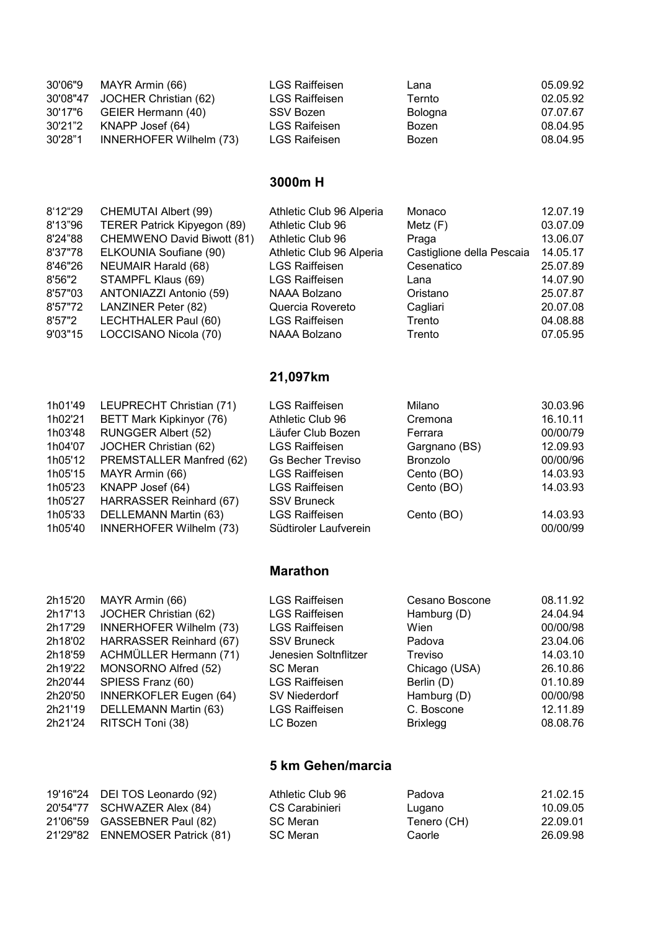| 30'06"9 | MAYR Armin (66)                | <b>LGS Raiffeisen</b> | Lana    | 05.09.92 |
|---------|--------------------------------|-----------------------|---------|----------|
|         | 30'08"47 JOCHER Christian (62) | <b>LGS Raiffeisen</b> | Ternto  | 02.05.92 |
|         | 30'17"6 GEIER Hermann (40)     | SSV Bozen             | Bologna | 07.07.67 |
| 30'21"2 | KNAPP Josef (64)               | LGS Raifeisen         | Bozen   | 08.04.95 |
| 30'28"1 | INNERHOFER Wilhelm (73)        | LGS Raifeisen         | Bozen   | 08.04.95 |

## 3000m H

| 8'12"29 | CHEMUTAI Albert (99)        | Athletic Club 96 Alperia | Monaco                    | 12.07.19 |
|---------|-----------------------------|--------------------------|---------------------------|----------|
| 8'13"96 | TERER Patrick Kipyegon (89) | Athletic Club 96         | Metz(F)                   | 03.07.09 |
| 8'24"88 | CHEMWENO David Biwott (81)  | Athletic Club 96         | Praga                     | 13.06.07 |
| 8'37"78 | ELKOUNIA Soufiane (90)      | Athletic Club 96 Alperia | Castiglione della Pescaia | 14.05.17 |
| 8'46"26 | <b>NEUMAIR Harald (68)</b>  | <b>LGS Raiffeisen</b>    | Cesenatico                | 25.07.89 |
| 8'56"2  | STAMPFL Klaus (69)          | <b>LGS Raiffeisen</b>    | Lana                      | 14.07.90 |
| 8'57"03 | ANTONIAZZI Antonio (59)     | NAAA Bolzano             | Oristano                  | 25.07.87 |
| 8'57"72 | <b>LANZINER Peter (82)</b>  | Quercia Rovereto         | Cagliari                  | 20.07.08 |
| 8'57"2  | LECHTHALER Paul (60)        | <b>LGS Raiffeisen</b>    | Trento                    | 04.08.88 |
| 9'03"15 | LOCCISANO Nicola (70)       | NAAA Bolzano             | Trento                    | 07.05.95 |
|         |                             |                          |                           |          |

## 21,097km

| 1h01'49 | LEUPRECHT Christian (71)        | <b>LGS Raiffeisen</b>    | Milano          | 30.03.96 |
|---------|---------------------------------|--------------------------|-----------------|----------|
| 1h02'21 | <b>BETT Mark Kipkinyor (76)</b> | Athletic Club 96         | Cremona         | 16.10.11 |
| 1h03'48 | <b>RUNGGER Albert (52)</b>      | Läufer Club Bozen        | Ferrara         | 00/00/79 |
| 1h04'07 | JOCHER Christian (62)           | <b>LGS Raiffeisen</b>    | Gargnano (BS)   | 12.09.93 |
| 1h05'12 | PREMSTALLER Manfred (62)        | <b>Gs Becher Treviso</b> | <b>Bronzolo</b> | 00/00/96 |
| 1h05'15 | MAYR Armin (66)                 | <b>LGS Raiffeisen</b>    | Cento (BO)      | 14.03.93 |
| 1h05'23 | KNAPP Josef (64)                | <b>LGS Raiffeisen</b>    | Cento (BO)      | 14.03.93 |
| 1h05'27 | HARRASSER Reinhard (67)         | <b>SSV Bruneck</b>       |                 |          |
| 1h05'33 | DELLEMANN Martin (63)           | <b>LGS Raiffeisen</b>    | Cento (BO)      | 14.03.93 |
| 1h05'40 | <b>INNERHOFER Wilhelm (73)</b>  | Südtiroler Laufverein    |                 | 00/00/99 |
|         |                                 |                          |                 |          |

## Marathon

| 2h15'20 | MAYR Armin (66)               | <b>LGS Raiffeisen</b> | Cesano Boscone  | 08.11.92 |
|---------|-------------------------------|-----------------------|-----------------|----------|
| 2h17'13 | JOCHER Christian (62)         | <b>LGS Raiffeisen</b> | Hamburg (D)     | 24.04.94 |
| 2h17'29 | INNERHOFER Wilhelm (73)       | <b>LGS Raiffeisen</b> | Wien            | 00/00/98 |
| 2h18'02 | HARRASSER Reinhard (67)       | <b>SSV Bruneck</b>    | Padova          | 23.04.06 |
| 2h18'59 | ACHMÜLLER Hermann (71)        | Jenesien Soltnflitzer | Treviso         | 14.03.10 |
| 2h19'22 | MONSORNO Alfred (52)          | <b>SC Meran</b>       | Chicago (USA)   | 26.10.86 |
| 2h20'44 | SPIESS Franz (60)             | <b>LGS Raiffeisen</b> | Berlin (D)      | 01.10.89 |
| 2h20'50 | <b>INNERKOFLER Eugen (64)</b> | SV Niederdorf         | Hamburg (D)     | 00/00/98 |
| 2h21'19 | DELLEMANN Martin (63)         | <b>LGS Raiffeisen</b> | C. Boscone      | 12.11.89 |
| 2h21'24 | RITSCH Toni (38)              | LC Bozen              | <b>Brixlegg</b> | 08.08.76 |
|         |                               |                       |                 |          |

#### 5 km Gehen/marcia

| 19'16"24 DEI TOS Leonardo (92)  | Athletic Club 96 | Padova      | 21.02.15 |
|---------------------------------|------------------|-------------|----------|
| 20'54"77 SCHWAZER Alex (84)     | CS Carabinieri   | Lugano      | 10.09.05 |
| 21'06"59 GASSEBNER Paul (82)    | SC Meran         | Tenero (CH) | 22.09.01 |
| 21'29"82 ENNEMOSER Patrick (81) | SC Meran         | Caorle      | 26.09.98 |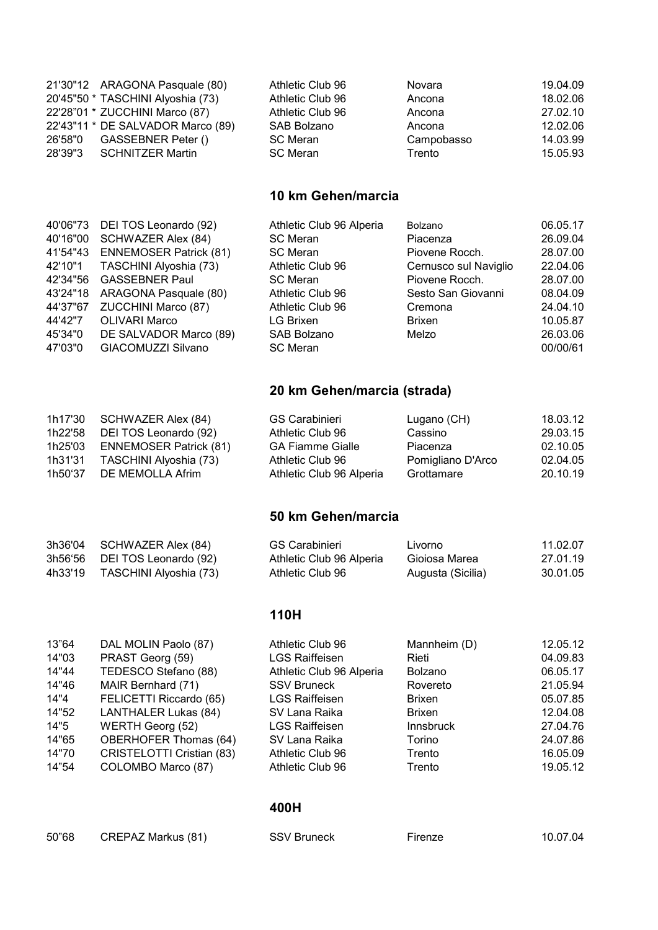| 21'30"12 ARAGONA Pasquale (80)    | Athletic Club 96 | Novara     | 19.04.09 |
|-----------------------------------|------------------|------------|----------|
| 20'45"50 * TASCHINI Alyoshia (73) | Athletic Club 96 | Ancona     | 18.02.06 |
| 22'28"01 * ZUCCHINI Marco (87)    | Athletic Club 96 | Ancona     | 27.02.10 |
| 22'43"11 * DE SALVADOR Marco (89) | SAB Bolzano      | Ancona     | 12.02.06 |
| 26'58"0 GASSEBNER Peter ()        | SC Meran         | Campobasso | 14.03.99 |
| 28'39"3 SCHNITZER Martin          | <b>SC</b> Meran  | Trento     | 15.05.93 |

## 10 km Gehen/marcia

|          | 40'06"73 DEI TOS Leonardo (92) | Athletic Club 96 Alperia | Bolzano               | 06.05.17 |
|----------|--------------------------------|--------------------------|-----------------------|----------|
| 40'16"00 | SCHWAZER Alex (84)             | <b>SC Meran</b>          | Piacenza              | 26.09.04 |
| 41'54"43 | <b>ENNEMOSER Patrick (81)</b>  | <b>SC Meran</b>          | Piovene Rocch.        | 28.07.00 |
|          | 42'10"1 TASCHINI Alyoshia (73) | Athletic Club 96         | Cernusco sul Naviglio | 22.04.06 |
| 42'34"56 | <b>GASSEBNER Paul</b>          | <b>SC Meran</b>          | Piovene Rocch.        | 28.07.00 |
| 43'24"18 | ARAGONA Pasquale (80)          | Athletic Club 96         | Sesto San Giovanni    | 08.04.09 |
| 44'37"67 | ZUCCHINI Marco (87)            | Athletic Club 96         | Cremona               | 24.04.10 |
| 44'42"7  | <b>OLIVARI Marco</b>           | LG Brixen                | <b>Brixen</b>         | 10.05.87 |
| 45'34"0  | DE SALVADOR Marco (89)         | <b>SAB Bolzano</b>       | Melzo                 | 26.03.06 |
| 47'03"0  | GIACOMUZZI Silvano             | <b>SC Meran</b>          |                       | 00/00/61 |
|          |                                |                          |                       |          |

# 20 km Gehen/marcia (strada)

| 1h17'30 | SCHWAZER Alex (84)            | <b>GS Carabinieri</b>    | Lugano (CH)       | 18.03.12 |
|---------|-------------------------------|--------------------------|-------------------|----------|
| 1h22'58 | DEI TOS Leonardo (92)         | Athletic Club 96         | Cassino           | 29.03.15 |
| 1h25'03 | <b>ENNEMOSER Patrick (81)</b> | <b>GA Fiamme Gialle</b>  | Piacenza          | 02.10.05 |
| 1h31'31 | TASCHINI Alyoshia (73)        | Athletic Club 96         | Pomigliano D'Arco | 02.04.05 |
| 1h50'37 | DE MEMOLLA Afrim              | Athletic Club 96 Alperia | Grottamare        | 20.10.19 |

## 50 km Gehen/marcia

| 3h36'04 | SCHWAZER Alex (84)     | GS Carabinieri           | Livorno           | 11.02.07 |
|---------|------------------------|--------------------------|-------------------|----------|
| 3h56'56 | DEI TOS Leonardo (92)  | Athletic Club 96 Alperia | Gioiosa Marea     | 27.01.19 |
| 4h33'19 | TASCHINI Alyoshia (73) | Athletic Club 96         | Augusta (Sicilia) | 30.01.05 |

## 110H

| 13"64 | DAL MOLIN Paolo (87)             | Athletic Club 96         | Mannheim (D)     | 12.05.12 |
|-------|----------------------------------|--------------------------|------------------|----------|
| 14"03 | PRAST Georg (59)                 | <b>LGS Raiffeisen</b>    | Rieti            | 04.09.83 |
| 14"44 | TEDESCO Stefano (88)             | Athletic Club 96 Alperia | <b>Bolzano</b>   | 06.05.17 |
| 14"46 | MAIR Bernhard (71)               | <b>SSV Bruneck</b>       | Rovereto         | 21.05.94 |
| 14"4  | FELICETTI Riccardo (65)          | <b>LGS Raiffeisen</b>    | <b>Brixen</b>    | 05.07.85 |
| 14"52 | LANTHALER Lukas (84)             | SV Lana Raika            | <b>Brixen</b>    | 12.04.08 |
| 14"5  | <b>WERTH Georg (52)</b>          | <b>LGS Raiffeisen</b>    | <b>Innsbruck</b> | 27.04.76 |
| 14"65 | OBERHOFER Thomas (64)            | SV Lana Raika            | Torino           | 24.07.86 |
| 14"70 | <b>CRISTELOTTI Cristian (83)</b> | Athletic Club 96         | Trento           | 16.05.09 |
| 14"54 | COLOMBO Marco (87)               | Athletic Club 96         | Trento           | 19.05.12 |
|       |                                  |                          |                  |          |

#### 400H

| 50"68 | <b>CREPAZ Markus (81)</b> | <b>SSV Bruneck</b> | ⊦ırenze | 10.07.04 |
|-------|---------------------------|--------------------|---------|----------|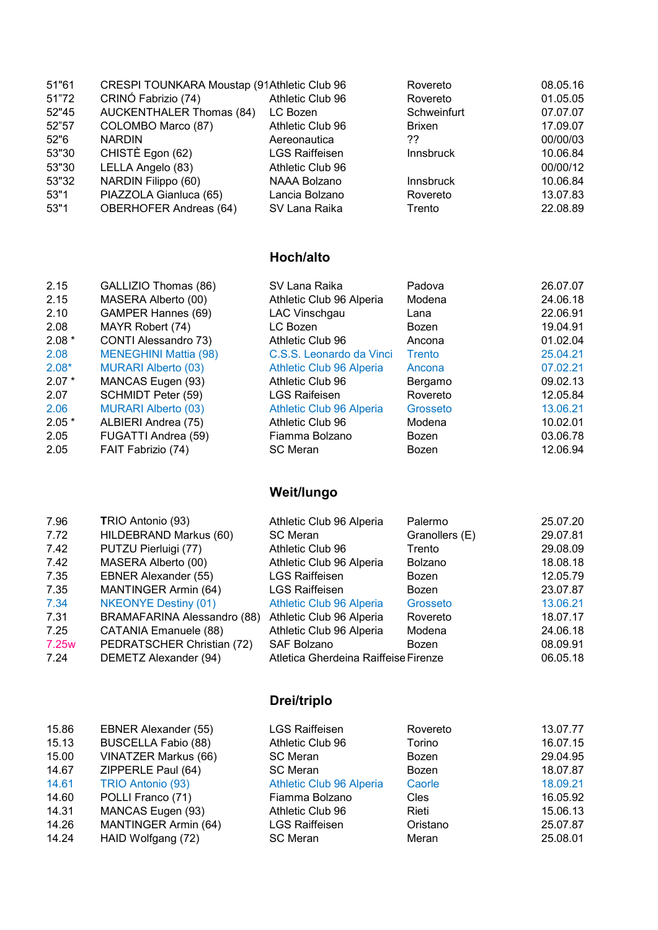| 51"61 | CRESPI TOUNKARA Moustap (91Athletic Club 96 |                       | Rovereto         | 08.05.16 |
|-------|---------------------------------------------|-----------------------|------------------|----------|
| 51"72 | CRINÓ Fabrizio (74)                         | Athletic Club 96      | Rovereto         | 01.05.05 |
| 52"45 | <b>AUCKENTHALER Thomas (84)</b>             | LC Bozen              | Schweinfurt      | 07.07.07 |
| 52"57 | COLOMBO Marco (87)                          | Athletic Club 96      | <b>Brixen</b>    | 17.09.07 |
| 52"6  | <b>NARDIN</b>                               | Aereonautica          | ??               | 00/00/03 |
| 53"30 | CHISTÈ Egon (62)                            | <b>LGS Raiffeisen</b> | <b>Innsbruck</b> | 10.06.84 |
| 53"30 | LELLA Angelo (83)                           | Athletic Club 96      |                  | 00/00/12 |
| 53"32 | NARDIN Filippo (60)                         | NAAA Bolzano          | <b>Innsbruck</b> | 10.06.84 |
| 53"1  | PIAZZOLA Gianluca (65)                      | Lancia Bolzano        | Rovereto         | 13.07.83 |
| 53"1  | <b>OBERHOFER Andreas (64)</b>               | SV Lana Raika         | Trento           | 22.08.89 |

## Hoch/alto

| 2.15    | GALLIZIO Thomas (86)         | SV Lana Raika            | Padova   | 26.07.07 |
|---------|------------------------------|--------------------------|----------|----------|
| 2.15    | MASERA Alberto (00)          | Athletic Club 96 Alperia | Modena   | 24.06.18 |
| 2.10    | <b>GAMPER Hannes (69)</b>    | LAC Vinschgau            | Lana     | 22.06.91 |
| 2.08    | MAYR Robert (74)             | LC Bozen                 | Bozen    | 19.04.91 |
| $2.08*$ | CONTI Alessandro 73)         | Athletic Club 96         | Ancona   | 01.02.04 |
| 2.08    | <b>MENEGHINI Mattia (98)</b> | C.S.S. Leonardo da Vinci | Trento   | 25.04.21 |
| $2.08*$ | <b>MURARI Alberto (03)</b>   | Athletic Club 96 Alperia | Ancona   | 07.02.21 |
| $2.07*$ | MANCAS Eugen (93)            | Athletic Club 96         | Bergamo  | 09.02.13 |
| 2.07    | SCHMIDT Peter (59)           | <b>LGS Raifeisen</b>     | Rovereto | 12.05.84 |
| 2.06    | <b>MURARI Alberto (03)</b>   | Athletic Club 96 Alperia | Grosseto | 13.06.21 |
| $2.05*$ | ALBIERI Andrea (75)          | Athletic Club 96         | Modena   | 10.02.01 |
| 2.05    | FUGATTI Andrea (59)          | Fiamma Bolzano           | Bozen    | 03.06.78 |
| 2.05    | FAIT Fabrizio (74)           | <b>SC Meran</b>          | Bozen    | 12.06.94 |

# Weit/lungo

| 7.96              | TRIO Antonio (93)           | Athletic Club 96 Alperia             | Palermo        | 25.07.20 |
|-------------------|-----------------------------|--------------------------------------|----------------|----------|
| 7.72              | HILDEBRAND Markus (60)      | <b>SC Meran</b>                      | Granollers (E) | 29.07.81 |
| 7.42              | PUTZU Pierluigi (77)        | Athletic Club 96                     | Trento         | 29.08.09 |
| 7.42              | MASERA Alberto (00)         | Athletic Club 96 Alperia             | <b>Bolzano</b> | 18.08.18 |
| 7.35              | <b>EBNER Alexander (55)</b> | <b>LGS Raiffeisen</b>                | Bozen          | 12.05.79 |
| 7.35              | MANTINGER Armin (64)        | <b>LGS Raiffeisen</b>                | Bozen          | 23.07.87 |
| 7.34              | <b>NKEONYE Destiny (01)</b> | Athletic Club 96 Alperia             | Grosseto       | 13.06.21 |
| 7.31              | BRAMAFARINA Alessandro (88) | Athletic Club 96 Alperia             | Rovereto       | 18.07.17 |
| 7.25              | CATANIA Emanuele (88)       | Athletic Club 96 Alperia             | Modena         | 24.06.18 |
| 7.25 <sub>w</sub> | PEDRATSCHER Christian (72)  | <b>SAF Bolzano</b>                   | Bozen          | 08.09.91 |
| 7.24              | DEMETZ Alexander (94)       | Atletica Gherdeina Raiffeise Firenze |                | 06.05.18 |

# Drei/triplo

| 15.86 | <b>EBNER Alexander (55)</b> | <b>LGS Raiffeisen</b>    | Rovereto    | 13.07.77 |
|-------|-----------------------------|--------------------------|-------------|----------|
| 15.13 | <b>BUSCELLA Fabio (88)</b>  | Athletic Club 96         | Torino      | 16.07.15 |
| 15.00 | <b>VINATZER Markus (66)</b> | <b>SC Meran</b>          | Bozen       | 29.04.95 |
| 14.67 | ZIPPERLE Paul (64)          | <b>SC Meran</b>          | Bozen       | 18.07.87 |
| 14.61 | TRIO Antonio (93)           | Athletic Club 96 Alperia | Caorle      | 18.09.21 |
| 14.60 | POLLI Franco (71)           | Fiamma Bolzano           | <b>Cles</b> | 16.05.92 |
| 14.31 | MANCAS Eugen (93)           | Athletic Club 96         | Rieti       | 15.06.13 |
| 14.26 | MANTINGER Armin (64)        | <b>LGS Raiffeisen</b>    | Oristano    | 25.07.87 |
| 14.24 | HAID Wolfgang (72)          | <b>SC Meran</b>          | Meran       | 25.08.01 |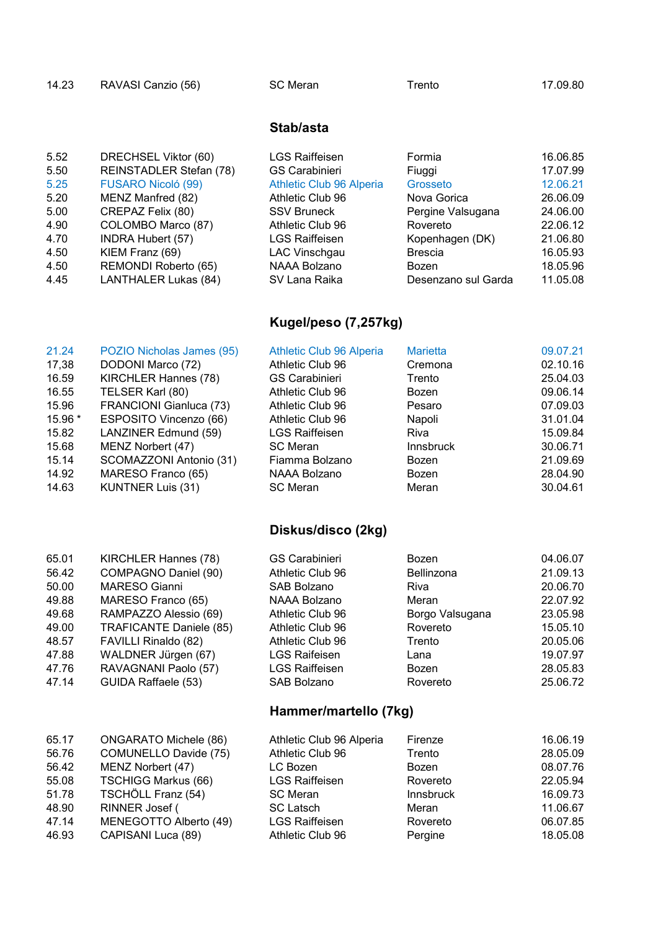| RAVASI Canzio (56)<br>SC Meran<br>14.23<br>rento | 17.09.80 |
|--------------------------------------------------|----------|
|--------------------------------------------------|----------|

#### Stab/asta

| 5.52 | DRECHSEL Viktor (60)        | <b>LGS Raiffeisen</b>    | Formia              | 16.06.85 |
|------|-----------------------------|--------------------------|---------------------|----------|
| 5.50 | REINSTADLER Stefan (78)     | GS Carabinieri           | Fiuggi              | 17.07.99 |
| 5.25 | <b>FUSARO Nicoló (99)</b>   | Athletic Club 96 Alperia | Grosseto            | 12.06.21 |
| 5.20 | MENZ Manfred (82)           | Athletic Club 96         | Nova Gorica         | 26.06.09 |
| 5.00 | CREPAZ Felix (80)           | <b>SSV Bruneck</b>       | Pergine Valsugana   | 24.06.00 |
| 4.90 | COLOMBO Marco (87)          | Athletic Club 96         | Rovereto            | 22.06.12 |
| 4.70 | <b>INDRA Hubert (57)</b>    | <b>LGS Raiffeisen</b>    | Kopenhagen (DK)     | 21.06.80 |
| 4.50 | KIEM Franz (69)             | LAC Vinschgau            | <b>Brescia</b>      | 16.05.93 |
| 4.50 | REMONDI Roberto (65)        | NAAA Bolzano             | Bozen               | 18.05.96 |
| 4.45 | <b>LANTHALER Lukas (84)</b> | SV Lana Raika            | Desenzano sul Garda | 11.05.08 |
|      |                             |                          |                     |          |

# Kugel/peso (7,257kg)

| 21.24   | POZIO Nicholas James (95) | Athletic Club 96 Alperia | <b>Marietta</b>  | 09.07.21 |
|---------|---------------------------|--------------------------|------------------|----------|
| 17,38   | DODONI Marco (72)         | Athletic Club 96         | Cremona          | 02.10.16 |
| 16.59   | KIRCHLER Hannes (78)      | <b>GS Carabinieri</b>    | Trento           | 25.04.03 |
| 16.55   | TELSER Karl (80)          | Athletic Club 96         | Bozen            | 09.06.14 |
| 15.96   | FRANCIONI Gianluca (73)   | Athletic Club 96         | Pesaro           | 07.09.03 |
| 15.96 * | ESPOSITO Vincenzo (66)    | Athletic Club 96         | Napoli           | 31.01.04 |
| 15.82   | LANZINER Edmund (59)      | <b>LGS Raiffeisen</b>    | Riva             | 15.09.84 |
| 15.68   | MENZ Norbert (47)         | <b>SC Meran</b>          | <b>Innsbruck</b> | 30.06.71 |
| 15.14   | SCOMAZZONI Antonio (31)   | Fiamma Bolzano           | Bozen            | 21.09.69 |
| 14.92   | MARESO Franco (65)        | NAAA Bolzano             | Bozen            | 28.04.90 |
| 14.63   | <b>KUNTNER Luis (31)</b>  | <b>SC Meran</b>          | Meran            | 30.04.61 |

# Diskus/disco (2kg)

| 65.01 | KIRCHLER Hannes (78)         | <b>GS Carabinieri</b>    | Bozen             | 04.06.07 |
|-------|------------------------------|--------------------------|-------------------|----------|
| 56.42 | COMPAGNO Daniel (90)         | Athletic Club 96         | <b>Bellinzona</b> | 21.09.13 |
| 50.00 | <b>MARESO Gianni</b>         | <b>SAB Bolzano</b>       | Riva              | 20.06.70 |
| 49.88 | MARESO Franco (65)           | NAAA Bolzano             | Meran             | 22.07.92 |
| 49.68 | RAMPAZZO Alessio (69)        | Athletic Club 96         | Borgo Valsugana   | 23.05.98 |
| 49.00 | TRAFICANTE Daniele (85)      | Athletic Club 96         | Rovereto          | 15.05.10 |
| 48.57 | FAVILLI Rinaldo (82)         | Athletic Club 96         | Trento            | 20.05.06 |
| 47.88 | WALDNER Jürgen (67)          | <b>LGS Raifeisen</b>     | Lana              | 19.07.97 |
| 47.76 | RAVAGNANI Paolo (57)         | <b>LGS Raiffeisen</b>    | Bozen             | 28.05.83 |
| 47.14 | GUIDA Raffaele (53)          | <b>SAB Bolzano</b>       | Rovereto          | 25.06.72 |
|       |                              | Hammer/martello (7kg)    |                   |          |
| 65.17 | <b>ONGARATO Michele (86)</b> | Athletic Club 96 Alperia | Firenze           | 16.06.19 |
| 56.76 | COMUNELLO Davide (75)        | Athletic Club 96         | Trento            | 28.05.09 |

| 65.17 | ONGARATO Michele (86)      | Athletic Club 96 Alperia | <b>Firenze</b>   | 16.06.19 |
|-------|----------------------------|--------------------------|------------------|----------|
| 56.76 | COMUNELLO Davide (75)      | Athletic Club 96         | Trento           | 28.05.09 |
| 56.42 | MENZ Norbert (47)          | LC Bozen                 | Bozen            | 08.07.76 |
| 55.08 | <b>TSCHIGG Markus (66)</b> | <b>LGS Raiffeisen</b>    | Rovereto         | 22.05.94 |
| 51.78 | TSCHÖLL Franz (54)         | <b>SC Meran</b>          | <b>Innsbruck</b> | 16.09.73 |
| 48.90 | RINNER Josef (             | <b>SC Latsch</b>         | Meran            | 11.06.67 |
| 47.14 | MENEGOTTO Alberto (49)     | <b>LGS Raiffeisen</b>    | Rovereto         | 06.07.85 |
| 46.93 | CAPISANI Luca (89)         | Athletic Club 96         | Pergine          | 18.05.08 |
|       |                            |                          |                  |          |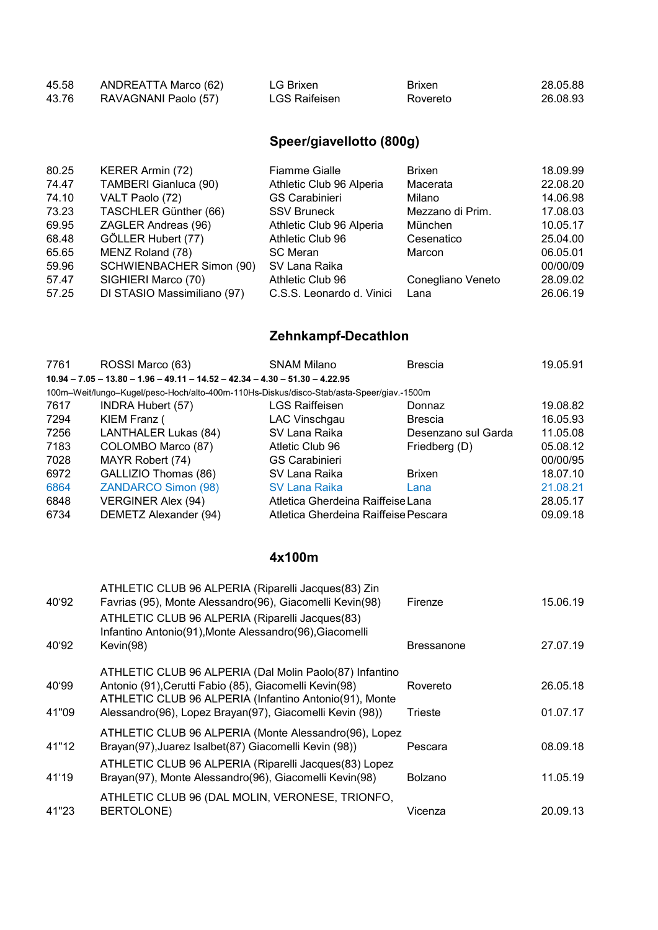| 45.58 | ANDREATTA Marco (62) | LG Brixen     | <b>Brixen</b> | 28.05.88 |
|-------|----------------------|---------------|---------------|----------|
| 43.76 | RAVAGNANI Paolo (57) | LGS Raifeisen | Rovereto      | 26.08.93 |

# Speer/giavellotto (800g)

| 80.25 | KERER Armin (72)            | <b>Fiamme Gialle</b>      | <b>Brixen</b>     | 18.09.99 |
|-------|-----------------------------|---------------------------|-------------------|----------|
| 74.47 | TAMBERI Gianluca (90)       | Athletic Club 96 Alperia  | Macerata          | 22.08.20 |
| 74.10 | VALT Paolo (72)             | <b>GS Carabinieri</b>     | Milano            | 14.06.98 |
| 73.23 | TASCHLER Günther (66)       | <b>SSV Bruneck</b>        | Mezzano di Prim.  | 17.08.03 |
| 69.95 | ZAGLER Andreas (96)         | Athletic Club 96 Alperia  | München           | 10.05.17 |
| 68.48 | GÖLLER Hubert (77)          | Athletic Club 96          | Cesenatico        | 25.04.00 |
| 65.65 | MENZ Roland (78)            | <b>SC Meran</b>           | Marcon            | 06.05.01 |
| 59.96 | SCHWIENBACHER Simon (90)    | SV Lana Raika             |                   | 00/00/09 |
| 57.47 | SIGHIERI Marco (70)         | Athletic Club 96          | Conegliano Veneto | 28.09.02 |
| 57.25 | DI STASIO Massimiliano (97) | C.S.S. Leonardo d. Vinici | Lana              | 26.06.19 |

# Zehnkampf-Decathlon

| 7761 | ROSSI Marco (63)                                                                         | <b>SNAM Milano</b>                   | <b>Brescia</b>      | 19.05.91 |
|------|------------------------------------------------------------------------------------------|--------------------------------------|---------------------|----------|
|      | $10.94 - 7.05 - 13.80 - 1.96 - 49.11 - 14.52 - 42.34 - 4.30 - 51.30 - 4.22.95$           |                                      |                     |          |
|      | 100m-Weit/lungo-Kugel/peso-Hoch/alto-400m-110Hs-Diskus/disco-Stab/asta-Speer/giav.-1500m |                                      |                     |          |
| 7617 | <b>INDRA Hubert (57)</b>                                                                 | <b>LGS Raiffeisen</b>                | Donnaz              | 19.08.82 |
| 7294 | KIEM Franz (                                                                             | LAC Vinschgau                        | <b>Brescia</b>      | 16.05.93 |
| 7256 | LANTHALER Lukas (84)                                                                     | SV Lana Raika                        | Desenzano sul Garda | 11.05.08 |
| 7183 | COLOMBO Marco (87)                                                                       | Atletic Club 96                      | Friedberg (D)       | 05.08.12 |
| 7028 | MAYR Robert (74)                                                                         | <b>GS Carabinieri</b>                |                     | 00/00/95 |
| 6972 | GALLIZIO Thomas (86)                                                                     | SV Lana Raika                        | <b>Brixen</b>       | 18.07.10 |
| 6864 | <b>ZANDARCO Simon (98)</b>                                                               | SV Lana Raika                        | Lana                | 21.08.21 |
| 6848 | <b>VERGINER Alex (94)</b>                                                                | Atletica Gherdeina Raiffeise Lana    |                     | 28.05.17 |
| 6734 | DEMETZ Alexander (94)                                                                    | Atletica Gherdeina Raiffeise Pescara |                     | 09.09.18 |

#### 4x100m

| 40'92 | ATHLETIC CLUB 96 ALPERIA (Riparelli Jacques(83) Zin<br>Favrias (95), Monte Alessandro(96), Giacomelli Kevin(98)                                                             | Firenze           | 15.06.19 |
|-------|-----------------------------------------------------------------------------------------------------------------------------------------------------------------------------|-------------------|----------|
|       | ATHLETIC CLUB 96 ALPERIA (Riparelli Jacques(83)<br>Infantino Antonio(91), Monte Alessandro(96), Giacomelli                                                                  |                   |          |
| 40'92 | Kevin(98)                                                                                                                                                                   | <b>Bressanone</b> | 27.07.19 |
| 40'99 | ATHLETIC CLUB 96 ALPERIA (Dal Molin Paolo(87) Infantino<br>Antonio (91), Cerutti Fabio (85), Giacomelli Kevin(98)<br>ATHLETIC CLUB 96 ALPERIA (Infantino Antonio(91), Monte | Rovereto          | 26.05.18 |
| 41"09 | Alessandro(96), Lopez Brayan(97), Giacomelli Kevin (98))                                                                                                                    | Trieste           | 01.07.17 |
| 41"12 | ATHLETIC CLUB 96 ALPERIA (Monte Alessandro(96), Lopez<br>Brayan(97), Juarez Isalbet(87) Giacomelli Kevin (98))<br>ATHLETIC CLUB 96 ALPERIA (Riparelli Jacques(83) Lopez     | Pescara           | 08.09.18 |
| 41'19 | Brayan(97), Monte Alessandro(96), Giacomelli Kevin(98)                                                                                                                      | <b>Bolzano</b>    | 11.05.19 |
| 41"23 | ATHLETIC CLUB 96 (DAL MOLIN, VERONESE, TRIONFO,<br>BERTOLONE)                                                                                                               | Vicenza           | 20.09.13 |
|       |                                                                                                                                                                             |                   |          |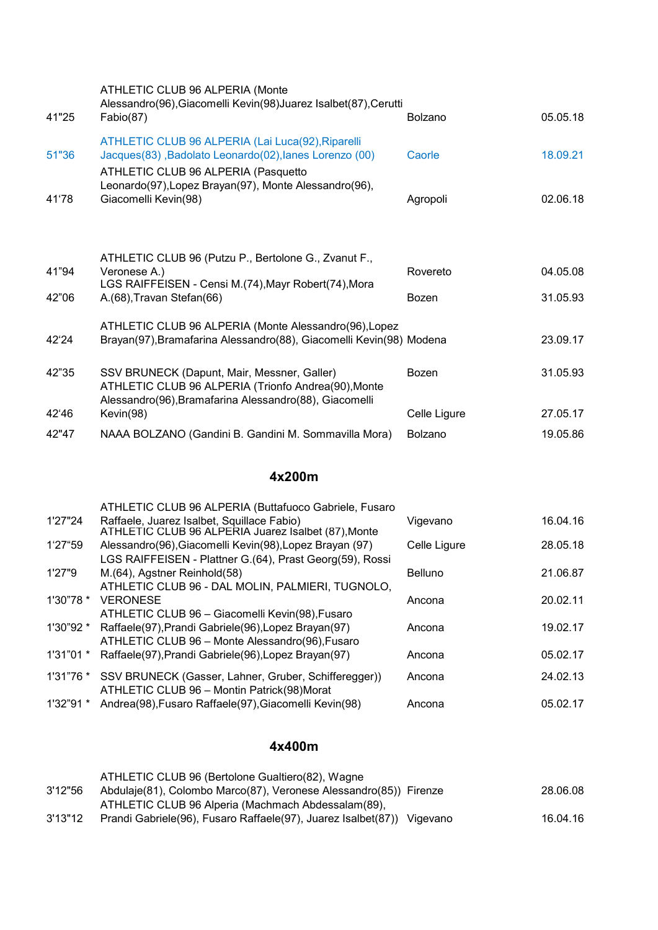| 41"25 | ATHLETIC CLUB 96 ALPERIA (Monte<br>Alessandro(96), Giacomelli Kevin(98) Juarez Isalbet(87), Cerutti<br>Fabio(87)                                             | <b>Bolzano</b> | 05.05.18 |
|-------|--------------------------------------------------------------------------------------------------------------------------------------------------------------|----------------|----------|
| 51"36 | ATHLETIC CLUB 96 ALPERIA (Lai Luca(92), Riparelli<br>Jacques(83), Badolato Leonardo(02), lanes Lorenzo (00)<br>ATHLETIC CLUB 96 ALPERIA (Pasquetto           | Caorle         | 18.09.21 |
| 41'78 | Leonardo(97), Lopez Brayan(97), Monte Alessandro(96),<br>Giacomelli Kevin(98)                                                                                | Agropoli       | 02.06.18 |
|       |                                                                                                                                                              |                |          |
| 41"94 | ATHLETIC CLUB 96 (Putzu P., Bertolone G., Zvanut F.,<br>Veronese A.)<br>LGS RAIFFEISEN - Censi M.(74), Mayr Robert(74), Mora                                 | Rovereto       | 04.05.08 |
| 42"06 | A.(68), Travan Stefan(66)                                                                                                                                    | <b>Bozen</b>   | 31.05.93 |
| 42'24 | ATHLETIC CLUB 96 ALPERIA (Monte Alessandro(96), Lopez<br>Brayan(97), Bramafarina Alessandro(88), Giacomelli Kevin(98) Modena                                 |                | 23.09.17 |
| 42"35 | SSV BRUNECK (Dapunt, Mair, Messner, Galler)<br>ATHLETIC CLUB 96 ALPERIA (Trionfo Andrea(90), Monte<br>Alessandro(96), Bramafarina Alessandro(88), Giacomelli | Bozen          | 31.05.93 |
| 42'46 | Kevin(98)                                                                                                                                                    | Celle Ligure   | 27.05.17 |
| 42"47 | NAAA BOLZANO (Gandini B. Gandini M. Sommavilla Mora)                                                                                                         | <b>Bolzano</b> | 19.05.86 |

#### 4x200m

|           | ATHLETIC CLUB 96 ALPERIA (Buttafuoco Gabriele, Fusaro                                             |              |          |
|-----------|---------------------------------------------------------------------------------------------------|--------------|----------|
| 1'27"24   | Raffaele, Juarez Isalbet, Squillace Fabio)<br>ATHLETIC CLUB 96 ALPERIA Juarez Isalbet (87), Monte | Vigevano     | 16.04.16 |
| 1'27"59   | Alessandro(96), Giacomelli Kevin(98), Lopez Brayan (97)                                           | Celle Ligure | 28.05.18 |
|           | LGS RAIFFEISEN - Plattner G.(64), Prast Georg(59), Rossi                                          |              |          |
| 1'27"9    | M.(64), Agstner Reinhold(58)                                                                      | Belluno      | 21.06.87 |
|           | ATHLETIC CLUB 96 - DAL MOLIN, PALMIERI, TUGNOLO,                                                  |              |          |
| 1'30"78"  | <b>VERONESE</b>                                                                                   | Ancona       | 20.02.11 |
|           | ATHLETIC CLUB 96 - Giacomelli Kevin(98), Fusaro                                                   |              |          |
| 1'30"92 * | Raffaele(97), Prandi Gabriele(96), Lopez Brayan(97)                                               | Ancona       | 19.02.17 |
|           | ATHLETIC CLUB 96 - Monte Alessandro(96), Fusaro                                                   |              |          |
| 1'31"01"  | Raffaele(97), Prandi Gabriele(96), Lopez Brayan(97)                                               | Ancona       | 05.02.17 |
|           | 1'31"76 * SSV BRUNECK (Gasser, Lahner, Gruber, Schifferegger))                                    | Ancona       | 24.02.13 |
|           | ATHLETIC CLUB 96 - Montin Patrick(98)Morat                                                        |              |          |
| 1'32"91 * | Andrea(98), Fusaro Raffaele(97), Giacomelli Kevin(98)                                             | Ancona       | 05.02.17 |
|           |                                                                                                   |              |          |

#### 4x400m

|         | ATHLETIC CLUB 96 (Bertolone Gualtiero(82), Wagne                       |          |
|---------|------------------------------------------------------------------------|----------|
| 3'12"56 | Abdulaje(81), Colombo Marco(87), Veronese Alessandro(85)) Firenze      | 28.06.08 |
|         | ATHLETIC CLUB 96 Alperia (Machmach Abdessalam(89),                     |          |
| 3'13"12 | Prandi Gabriele(96), Fusaro Raffaele(97), Juarez Isalbet(87)) Vigevano | 16.04.16 |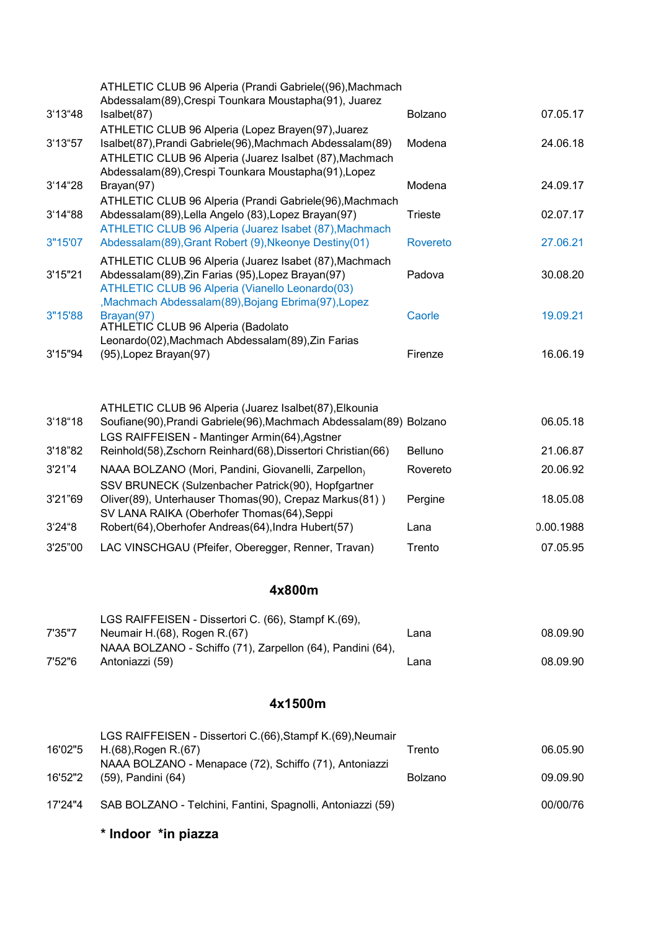| 07.05.17<br>24.06.18<br>24.09.17<br>02.07.17<br>27.06.21<br>30.08.20<br>19.09.21 |
|----------------------------------------------------------------------------------|
|                                                                                  |
|                                                                                  |
|                                                                                  |
|                                                                                  |
|                                                                                  |
|                                                                                  |
|                                                                                  |
| 16.06.19                                                                         |
|                                                                                  |
| 06.05.18                                                                         |
| 21.06.87                                                                         |
| 20.06.92                                                                         |
| 18.05.08                                                                         |
| 0.00.1988                                                                        |
| 07.05.95                                                                         |
|                                                                                  |
|                                                                                  |
|                                                                                  |
| 08.09.90                                                                         |
| 08.09.90                                                                         |
|                                                                                  |
|                                                                                  |
| 06.05.90                                                                         |
| 09.09.90                                                                         |
|                                                                                  |

\* Indoor \*in piazza